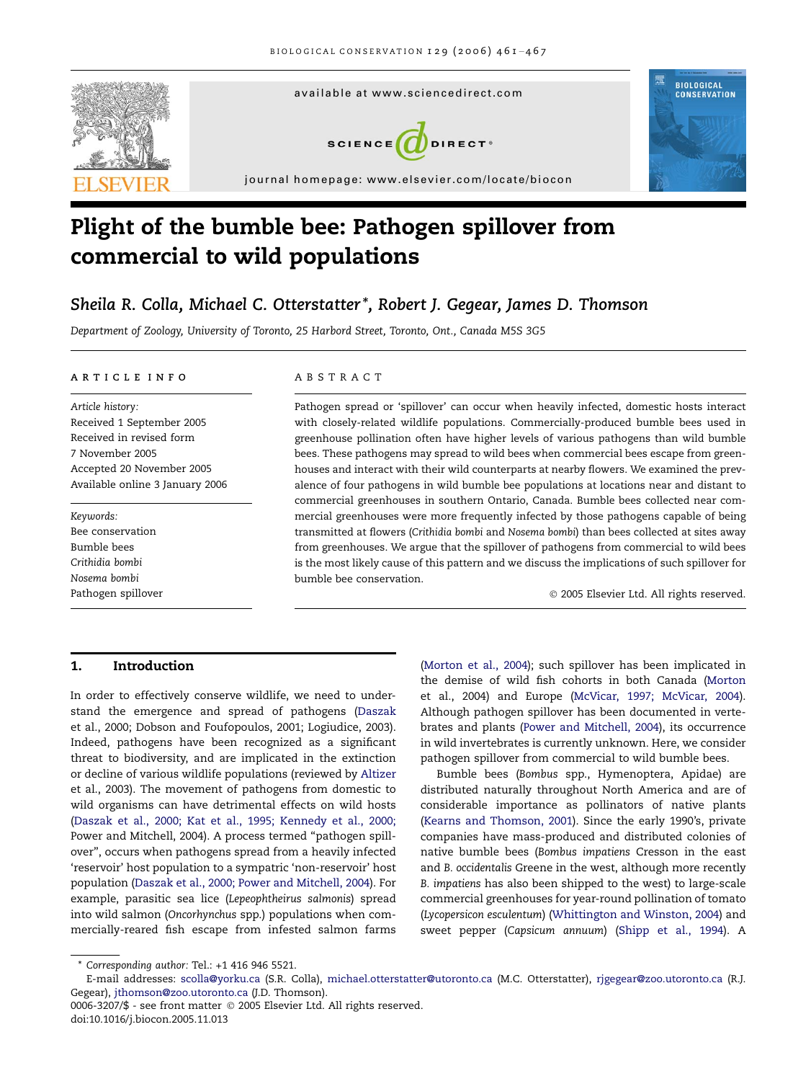

# Plight of the bumble bee: Pathogen spillover from commercial to wild populations

# Sheila R. Colla, Michael C. Otterstatter \*, Robert J. Gegear, James D. Thomson

Department of Zoology, University of Toronto, 25 Harbord Street, Toronto, Ont., Canada M5S 3G5

#### ARTICLE INFO

Article history: Received 1 September 2005 Received in revised form 7 November 2005 Accepted 20 November 2005 Available online 3 January 2006

Keywords: Bee conservation Bumble bees Crithidia bombi Nosema bombi Pathogen spillover

#### ABSTRACT

Pathogen spread or 'spillover' can occur when heavily infected, domestic hosts interact with closely-related wildlife populations. Commercially-produced bumble bees used in greenhouse pollination often have higher levels of various pathogens than wild bumble bees. These pathogens may spread to wild bees when commercial bees escape from greenhouses and interact with their wild counterparts at nearby flowers. We examined the prevalence of four pathogens in wild bumble bee populations at locations near and distant to commercial greenhouses in southern Ontario, Canada. Bumble bees collected near commercial greenhouses were more frequently infected by those pathogens capable of being transmitted at flowers (Crithidia bombi and Nosema bombi) than bees collected at sites away from greenhouses. We argue that the spillover of pathogens from commercial to wild bees is the most likely cause of this pattern and we discuss the implications of such spillover for bumble bee conservation.

- 2005 Elsevier Ltd. All rights reserved.

# 1. Introduction

In order to effectively conserve wildlife, we need to understand the emergence and spread of pathogens ([Daszak](#page-5-0) [et al., 2000; Dobson and Foufopoulos, 2001; Logiudice, 2003](#page-5-0)). Indeed, pathogens have been recognized as a significant threat to biodiversity, and are implicated in the extinction or decline of various wildlife populations (reviewed by [Altizer](#page-5-0) [et al., 2003](#page-5-0)). The movement of pathogens from domestic to wild organisms can have detrimental effects on wild hosts [\(Daszak et al., 2000; Kat et al., 1995; Kennedy et al., 2000;](#page-5-0) [Power and Mitchell, 2004](#page-5-0)). A process termed "pathogen spillover'', occurs when pathogens spread from a heavily infected 'reservoir' host population to a sympatric 'non-reservoir' host population [\(Daszak et al., 2000; Power and Mitchell, 2004\)](#page-5-0). For example, parasitic sea lice (Lepeophtheirus salmonis) spread into wild salmon (Oncorhynchus spp.) populations when commercially-reared fish escape from infested salmon farms

[\(Morton et al., 2004\)](#page-6-0); such spillover has been implicated in the demise of wild fish cohorts in both Canada [\(Morton](#page-6-0) [et al., 2004](#page-6-0)) and Europe ([McVicar, 1997; McVicar, 2004](#page-6-0)). Although pathogen spillover has been documented in vertebrates and plants [\(Power and Mitchell, 2004](#page-6-0)), its occurrence in wild invertebrates is currently unknown. Here, we consider pathogen spillover from commercial to wild bumble bees.

Bumble bees (Bombus spp., Hymenoptera, Apidae) are distributed naturally throughout North America and are of considerable importance as pollinators of native plants [\(Kearns and Thomson, 2001\)](#page-5-0). Since the early 1990's, private companies have mass-produced and distributed colonies of native bumble bees (Bombus impatiens Cresson in the east and B. occidentalis Greene in the west, although more recently B. impatiens has also been shipped to the west) to large-scale commercial greenhouses for year-round pollination of tomato (Lycopersicon esculentum) ([Whittington and Winston, 2004](#page-6-0)) and sweet pepper (Capsicum annuum) ([Shipp et al., 1994](#page-6-0)). A

<sup>\*</sup> Corresponding author: Tel.: +1 416 946 5521.

E-mail addresses: [scolla@yorku.ca](mailto:scolla@yorku.ca) (S.R. Colla), [michael.otterstatter@utoronto.ca](mailto:michael.otterstatter@utoronto.ca) (M.C. Otterstatter), [rjgegear@zoo.utoronto.ca](mailto:rjgegear@zoo.utoronto.ca) (R.J. Gegear), [jthomson@zoo.utoronto.ca](mailto:jthomson@zoo.utoronto.ca) (J.D. Thomson).

<sup>0006-3207/\$ -</sup> see front matter © 2005 Elsevier Ltd. All rights reserved. doi:10.1016/j.biocon.2005.11.013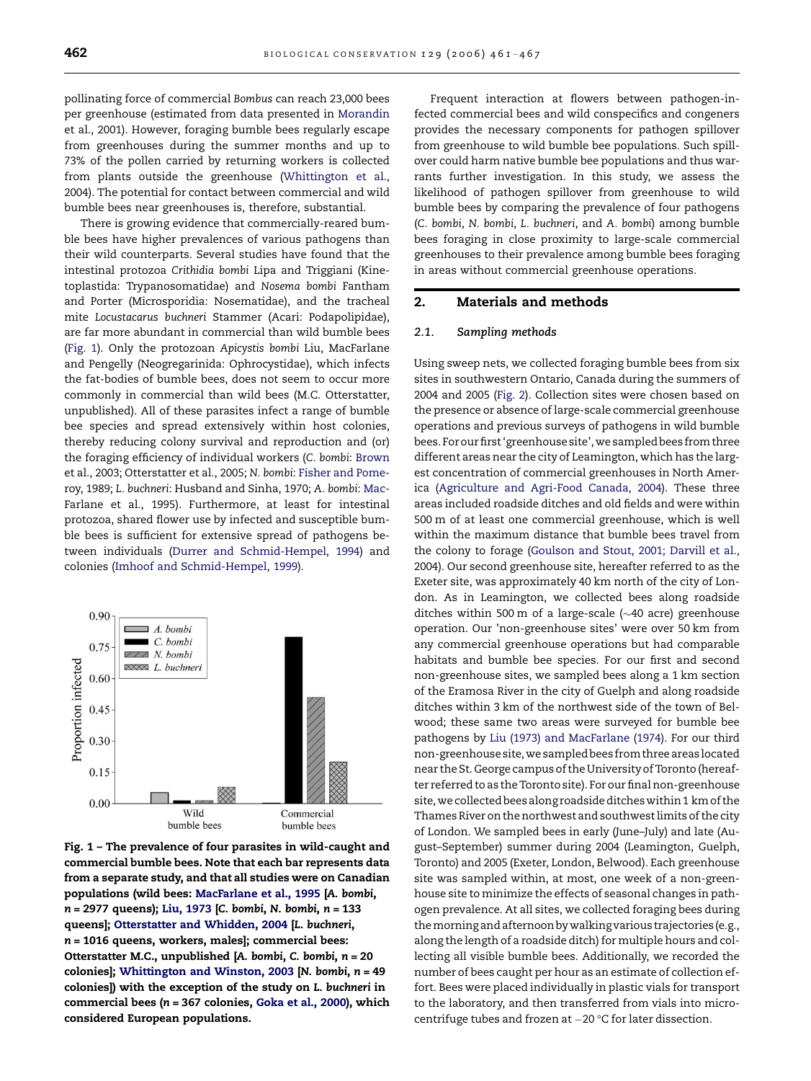pollinating force of commercial Bombus can reach 23,000 bees per greenhouse (estimated from data presented in [Morandin](#page-6-0) [et al., 2001](#page-6-0)). However, foraging bumble bees regularly escape from greenhouses during the summer months and up to 73% of the pollen carried by returning workers is collected from plants outside the greenhouse [\(Whittington et al.,](#page-6-0) [2004\)](#page-6-0). The potential for contact between commercial and wild bumble bees near greenhouses is, therefore, substantial.

There is growing evidence that commercially-reared bumble bees have higher prevalences of various pathogens than their wild counterparts. Several studies have found that the intestinal protozoa Crithidia bombi Lipa and Triggiani (Kinetoplastida: Trypanosomatidae) and Nosema bombi Fantham and Porter (Microsporidia: Nosematidae), and the tracheal mite Locustacarus buchneri Stammer (Acari: Podapolipidae), are far more abundant in commercial than wild bumble bees (Fig. 1). Only the protozoan Apicystis bombi Liu, MacFarlane and Pengelly (Neogregarinida: Ophrocystidae), which infects the fat-bodies of bumble bees, does not seem to occur more commonly in commercial than wild bees (M.C. Otterstatter, unpublished). All of these parasites infect a range of bumble bee species and spread extensively within host colonies, thereby reducing colony survival and reproduction and (or) the foraging efficiency of individual workers (C. bombi: [Brown](#page-5-0) [et al., 2003; Otterstatter et al., 2005](#page-5-0); N. bombi: [Fisher and Pome](#page-5-0)[roy, 1989;](#page-5-0) L. buchneri: Husband and Sinha, 1970; A. bombi: [Mac-](#page-6-0)[Farlane et al., 1995\)](#page-6-0). Furthermore, at least for intestinal protozoa, shared flower use by infected and susceptible bumble bees is sufficient for extensive spread of pathogens between individuals ([Durrer and Schmid-Hempel, 1994](#page-5-0)) and colonies ([Imhoof and Schmid-Hempel, 1999\)](#page-5-0).



Fig. 1 – The prevalence of four parasites in wild-caught and commercial bumble bees. Note that each bar represents data from a separate study, and that all studies were on Canadian populations (wild bees: [MacFarlane et al., 1995](#page-6-0) [A. bombi, n = 2977 queens); [Liu, 1973](#page-6-0) [C. bombi, N. bombi, n = 133 queens]; [Otterstatter and Whidden, 2004](#page-6-0) [L. buchneri,  $n = 1016$  queens, workers, males]; commercial bees: Otterstatter M.C., unpublished [A. bombi, C. bombi, n = 20 colonies]; [Whittington and Winston, 2003](#page-6-0) [N. bombi, n = 49 colonies]) with the exception of the study on L. buchneri in commercial bees (n = 367 colonies, [Goka et al., 2000](#page-5-0)), which considered European populations.

Frequent interaction at flowers between pathogen-infected commercial bees and wild conspecifics and congeners provides the necessary components for pathogen spillover from greenhouse to wild bumble bee populations. Such spillover could harm native bumble bee populations and thus warrants further investigation. In this study, we assess the likelihood of pathogen spillover from greenhouse to wild bumble bees by comparing the prevalence of four pathogens (C. bombi, N. bombi, L. buchneri, and A. bombi) among bumble bees foraging in close proximity to large-scale commercial greenhouses to their prevalence among bumble bees foraging in areas without commercial greenhouse operations.

# 2. Materials and methods

#### 2.1. Sampling methods

Using sweep nets, we collected foraging bumble bees from six sites in southwestern Ontario, Canada during the summers of 2004 and 2005 [\(Fig. 2\)](#page-2-0). Collection sites were chosen based on the presence or absence of large-scale commercial greenhouse operations and previous surveys of pathogens in wild bumble bees.Forourfirst'greenhousesite',we sampledbeesfromthree different areas near the city of Leamington, which has the largest concentration of commercial greenhouses in North America [\(Agriculture and Agri-Food Canada, 2004\)](#page-5-0). These three areas included roadside ditches and old fields and were within 500 m of at least one commercial greenhouse, which is well within the maximum distance that bumble bees travel from the colony to forage ([Goulson and Stout, 2001; Darvill et al.,](#page-5-0) [2004\)](#page-5-0). Our second greenhouse site, hereafter referred to as the Exeter site, was approximately 40 km north of the city of London. As in Leamington, we collected bees along roadside ditches within 500 m of a large-scale ( $\sim$ 40 acre) greenhouse operation. Our 'non-greenhouse sites' were over 50 km from any commercial greenhouse operations but had comparable habitats and bumble bee species. For our first and second non-greenhouse sites, we sampled bees along a 1 km section of the Eramosa River in the city of Guelph and along roadside ditches within 3 km of the northwest side of the town of Belwood; these same two areas were surveyed for bumble bee pathogens by [Liu \(1973\) and MacFarlane \(1974\)](#page-6-0). For our third non-greenhousesite,wesampledbeesfromthreeareaslocated near the St. George campus of the Universityof Toronto (hereafter referred to as the Toronto site). For our final non-greenhouse site, we collected bees along roadside ditches within 1 km of the Thames River on the northwest and southwest limits of the city of London. We sampled bees in early (June–July) and late (August–September) summer during 2004 (Leamington, Guelph, Toronto) and 2005 (Exeter, London, Belwood). Each greenhouse site was sampled within, at most, one week of a non-greenhouse site to minimize the effects of seasonal changes in pathogen prevalence. At all sites, we collected foraging bees during themorningand afternoon bywalkingvarious trajectories(e.g., along the length of a roadside ditch) for multiple hours and collecting all visible bumble bees. Additionally, we recorded the number of bees caught per hour as an estimate of collection effort. Bees were placed individually in plastic vials for transport to the laboratory, and then transferred from vials into microcentrifuge tubes and frozen at  $-20$  °C for later dissection.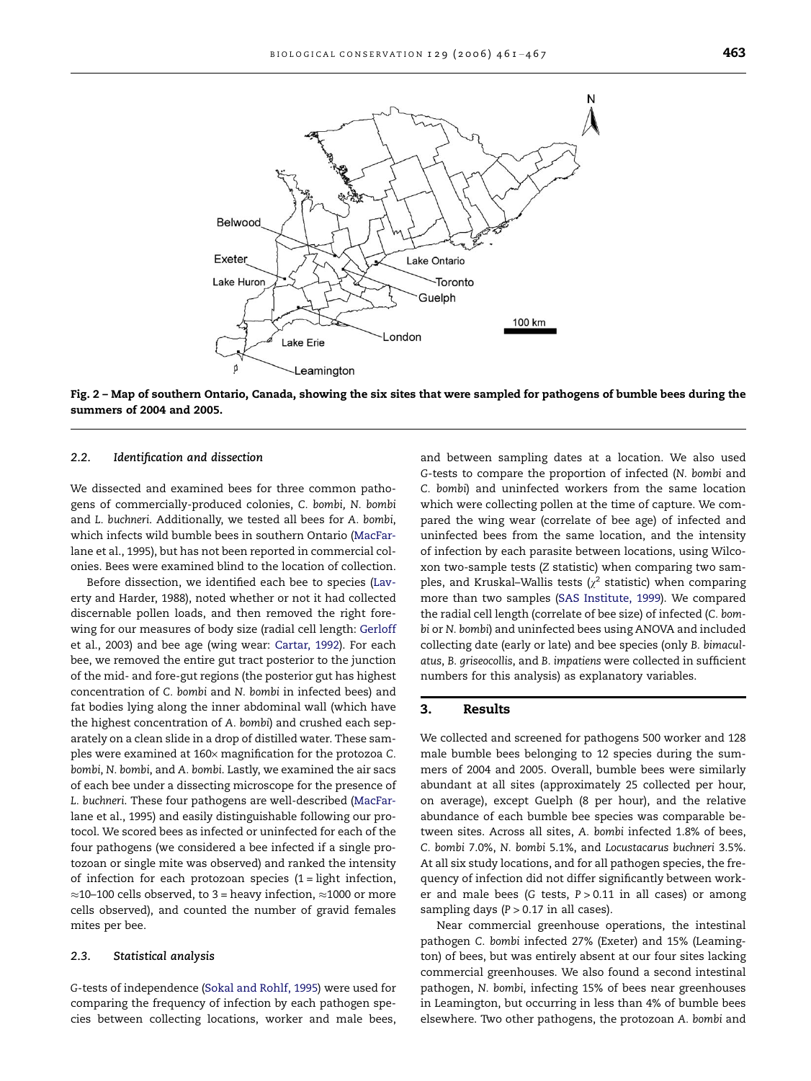<span id="page-2-0"></span>

Fig. 2 – Map of southern Ontario, Canada, showing the six sites that were sampled for pathogens of bumble bees during the summers of 2004 and 2005.

#### 2.2. Identification and dissection

We dissected and examined bees for three common pathogens of commercially-produced colonies, C. bombi, N. bombi and L. buchneri. Additionally, we tested all bees for A. bombi, which infects wild bumble bees in southern Ontario [\(MacFar](#page-6-0)[lane et al., 1995\)](#page-6-0), but has not been reported in commercial colonies. Bees were examined blind to the location of collection.

Before dissection, we identified each bee to species [\(Lav](#page-6-0)[erty and Harder, 1988](#page-6-0)), noted whether or not it had collected discernable pollen loads, and then removed the right forewing for our measures of body size (radial cell length: [Gerloff](#page-5-0) [et al., 2003](#page-5-0)) and bee age (wing wear: [Cartar, 1992](#page-5-0)). For each bee, we removed the entire gut tract posterior to the junction of the mid- and fore-gut regions (the posterior gut has highest concentration of C. bombi and N. bombi in infected bees) and fat bodies lying along the inner abdominal wall (which have the highest concentration of A. bombi) and crushed each separately on a clean slide in a drop of distilled water. These samples were examined at  $160 \times$  magnification for the protozoa C. bombi, N. bombi, and A. bombi. Lastly, we examined the air sacs of each bee under a dissecting microscope for the presence of L. buchneri. These four pathogens are well-described [\(MacFar](#page-6-0)[lane et al., 1995](#page-6-0)) and easily distinguishable following our protocol. We scored bees as infected or uninfected for each of the four pathogens (we considered a bee infected if a single protozoan or single mite was observed) and ranked the intensity of infection for each protozoan species  $(1 =$  light infection,  $\approx$ 10–100 cells observed, to 3 = heavy infection,  $\approx$ 1000 or more cells observed), and counted the number of gravid females mites per bee.

## 2.3. Statistical analysis

G-tests of independence ([Sokal and Rohlf, 1995](#page-6-0)) were used for comparing the frequency of infection by each pathogen species between collecting locations, worker and male bees,

and between sampling dates at a location. We also used G-tests to compare the proportion of infected (N. bombi and C. bombi) and uninfected workers from the same location which were collecting pollen at the time of capture. We compared the wing wear (correlate of bee age) of infected and uninfected bees from the same location, and the intensity of infection by each parasite between locations, using Wilcoxon two-sample tests (Z statistic) when comparing two samples, and Kruskal–Wallis tests ( $\chi^2$  statistic) when comparing more than two samples [\(SAS Institute, 1999](#page-6-0)). We compared the radial cell length (correlate of bee size) of infected (C. bombi or N. bombi) and uninfected bees using ANOVA and included collecting date (early or late) and bee species (only B. bimaculatus, B. griseocollis, and B. impatiens were collected in sufficient numbers for this analysis) as explanatory variables.

## 3. Results

We collected and screened for pathogens 500 worker and 128 male bumble bees belonging to 12 species during the summers of 2004 and 2005. Overall, bumble bees were similarly abundant at all sites (approximately 25 collected per hour, on average), except Guelph (8 per hour), and the relative abundance of each bumble bee species was comparable between sites. Across all sites, A. bombi infected 1.8% of bees, C. bombi 7.0%, N. bombi 5.1%, and Locustacarus buchneri 3.5%. At all six study locations, and for all pathogen species, the frequency of infection did not differ significantly between worker and male bees (G tests,  $P > 0.11$  in all cases) or among sampling days ( $P > 0.17$  in all cases).

Near commercial greenhouse operations, the intestinal pathogen C. bombi infected 27% (Exeter) and 15% (Leamington) of bees, but was entirely absent at our four sites lacking commercial greenhouses. We also found a second intestinal pathogen, N. bombi, infecting 15% of bees near greenhouses in Leamington, but occurring in less than 4% of bumble bees elsewhere. Two other pathogens, the protozoan A. bombi and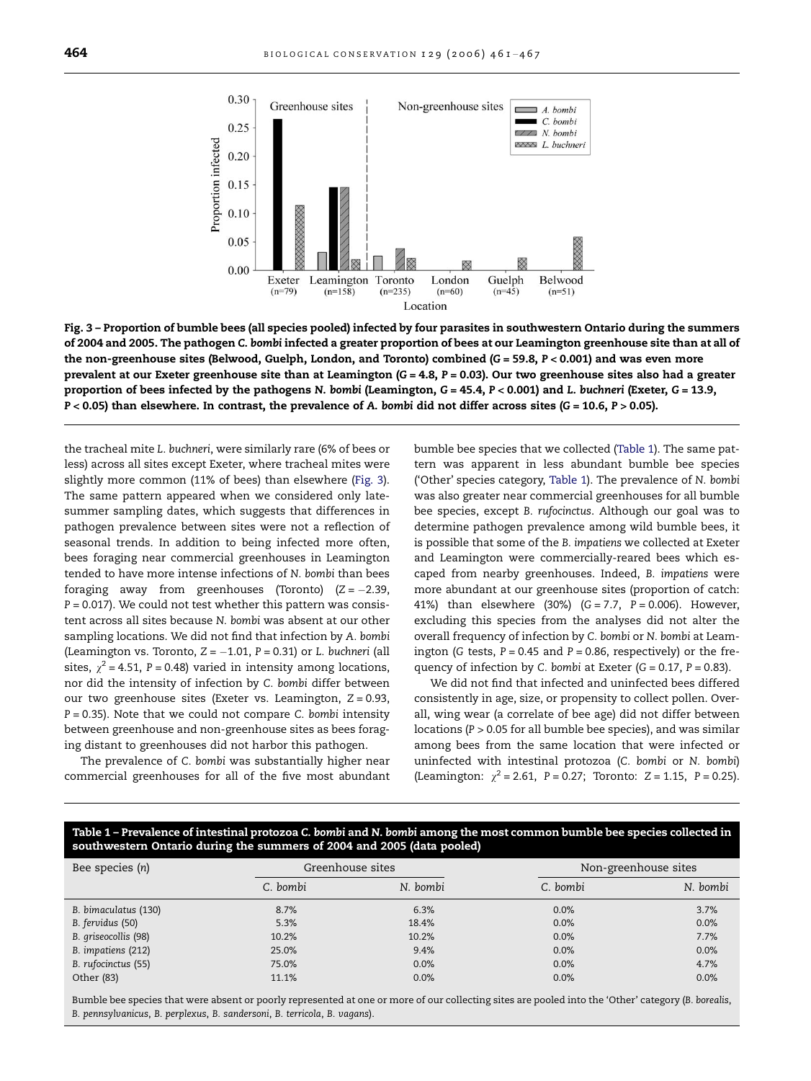

Fig. 3 – Proportion of bumble bees (all species pooled) infected by four parasites in southwestern Ontario during the summers of 2004 and 2005. The pathogen C. bombi infected a greater proportion of bees at our Leamington greenhouse site than at all of the non-greenhouse sites (Belwood, Guelph, London, and Toronto) combined (G = 59.8,  $P < 0.001$ ) and was even more prevalent at our Exeter greenhouse site than at Leamington  $(G = 4.8, P = 0.03)$ . Our two greenhouse sites also had a greater proportion of bees infected by the pathogens N. bombi (Leamington, G = 45.4, P < 0.001) and L. buchneri (Exeter, G = 13.9,  $P < 0.05$ ) than elsewhere. In contrast, the prevalence of A. bombi did not differ across sites (G = 10.6,  $P > 0.05$ ).

the tracheal mite L. buchneri, were similarly rare (6% of bees or less) across all sites except Exeter, where tracheal mites were slightly more common (11% of bees) than elsewhere (Fig. 3). The same pattern appeared when we considered only latesummer sampling dates, which suggests that differences in pathogen prevalence between sites were not a reflection of seasonal trends. In addition to being infected more often, bees foraging near commercial greenhouses in Leamington tended to have more intense infections of N. bombi than bees foraging away from greenhouses (Toronto)  $(Z = -2.39,$  $P = 0.017$ ). We could not test whether this pattern was consistent across all sites because N. bombi was absent at our other sampling locations. We did not find that infection by A. bombi (Leamington vs. Toronto,  $Z = -1.01$ ,  $P = 0.31$ ) or L. buchneri (all sites,  $\chi^2$  = 4.51, P = 0.48) varied in intensity among locations, nor did the intensity of infection by C. bombi differ between our two greenhouse sites (Exeter vs. Leamington,  $Z = 0.93$ ,  $P = 0.35$ ). Note that we could not compare C. bombi intensity between greenhouse and non-greenhouse sites as bees foraging distant to greenhouses did not harbor this pathogen.

The prevalence of C. bombi was substantially higher near commercial greenhouses for all of the five most abundant bumble bee species that we collected (Table 1). The same pattern was apparent in less abundant bumble bee species ('Other' species category, Table 1). The prevalence of N. bombi was also greater near commercial greenhouses for all bumble bee species, except B. rufocinctus. Although our goal was to determine pathogen prevalence among wild bumble bees, it is possible that some of the B. impatiens we collected at Exeter and Leamington were commercially-reared bees which escaped from nearby greenhouses. Indeed, B. impatiens were more abundant at our greenhouse sites (proportion of catch: 41%) than elsewhere (30%)  $(G = 7.7, P = 0.006)$ . However, excluding this species from the analyses did not alter the overall frequency of infection by C. bombi or N. bombi at Leamington (G tests,  $P = 0.45$  and  $P = 0.86$ , respectively) or the frequency of infection by C. bombi at Exeter  $(G = 0.17, P = 0.83)$ .

We did not find that infected and uninfected bees differed consistently in age, size, or propensity to collect pollen. Overall, wing wear (a correlate of bee age) did not differ between locations (P > 0.05 for all bumble bee species), and was similar among bees from the same location that were infected or uninfected with intestinal protozoa (C. bombi or N. bombi) (Leamington:  $\chi^2$  = 2.61, P = 0.27; Toronto: Z = 1.15, P = 0.25).

# Table 1 – Prevalence of intestinal protozoa C. bombi and N. bombi among the most common bumble bee species collected in southwestern Ontario during the summers of 2004 and 2005 (data pooled)

| Bee species (n)      | Greenhouse sites |          | Non-greenhouse sites |          |
|----------------------|------------------|----------|----------------------|----------|
|                      | C. bombi         | N. bombi | C. bombi             | N. bombi |
| B. bimaculatus (130) | 8.7%             | 6.3%     | 0.0%                 | 3.7%     |
| B. fervidus (50)     | 5.3%             | 18.4%    | 0.0%                 | 0.0%     |
| B. griseocollis (98) | 10.2%            | 10.2%    | 0.0%                 | 7.7%     |
| B. impatiens (212)   | 25.0%            | 9.4%     | 0.0%                 | 0.0%     |
| B. rufocinctus (55)  | 75.0%            | 0.0%     | 0.0%                 | 4.7%     |
| Other (83)           | 11.1%            | 0.0%     | 0.0%                 | 0.0%     |

Bumble bee species that were absent or poorly represented at one or more of our collecting sites are pooled into the 'Other' category (B. borealis, B. pennsylvanicus, B. perplexus, B. sandersoni, B. terricola, B. vagans).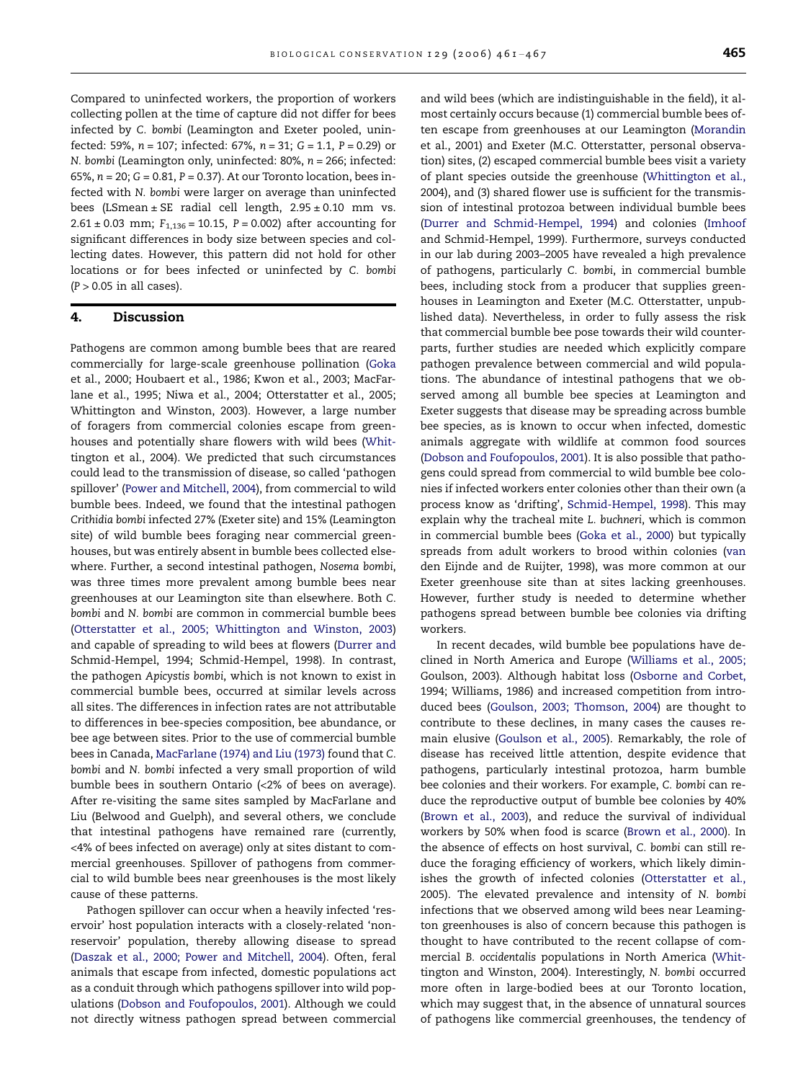Compared to uninfected workers, the proportion of workers collecting pollen at the time of capture did not differ for bees infected by C. bombi (Leamington and Exeter pooled, uninfected: 59%,  $n = 107$ ; infected: 67%,  $n = 31$ ;  $G = 1.1$ ,  $P = 0.29$ ) or N. bombi (Leamington only, uninfected:  $80\%$ ,  $n = 266$ ; infected: 65%, n = 20; G = 0.81, P = 0.37). At our Toronto location, bees infected with N. bombi were larger on average than uninfected bees (LSmean  $\pm$  SE radial cell length, 2.95  $\pm$  0.10 mm vs.  $2.61 \pm 0.03$  mm;  $F_{1,136} = 10.15$ ,  $P = 0.002$ ) after accounting for significant differences in body size between species and collecting dates. However, this pattern did not hold for other locations or for bees infected or uninfected by C. bombi  $(P > 0.05$  in all cases).

# 4. Discussion

Pathogens are common among bumble bees that are reared commercially for large-scale greenhouse pollination [\(Goka](#page-5-0) [et al., 2000; Houbaert et al., 1986; Kwon et al., 2003; MacFar](#page-5-0)[lane et al., 1995; Niwa et al., 2004; Otterstatter et al., 2005;](#page-5-0) [Whittington and Winston, 2003\)](#page-5-0). However, a large number of foragers from commercial colonies escape from greenhouses and potentially share flowers with wild bees [\(Whit](#page-6-0)[tington et al., 2004\)](#page-6-0). We predicted that such circumstances could lead to the transmission of disease, so called 'pathogen spillover' ([Power and Mitchell, 2004](#page-6-0)), from commercial to wild bumble bees. Indeed, we found that the intestinal pathogen Crithidia bombi infected 27% (Exeter site) and 15% (Leamington site) of wild bumble bees foraging near commercial greenhouses, but was entirely absent in bumble bees collected elsewhere. Further, a second intestinal pathogen, Nosema bombi, was three times more prevalent among bumble bees near greenhouses at our Leamington site than elsewhere. Both C. bombi and N. bombi are common in commercial bumble bees [\(Otterstatter et al., 2005; Whittington and Winston, 2003\)](#page-6-0) and capable of spreading to wild bees at flowers ([Durrer and](#page-5-0) [Schmid-Hempel, 1994; Schmid-Hempel, 1998](#page-5-0)). In contrast, the pathogen Apicystis bombi, which is not known to exist in commercial bumble bees, occurred at similar levels across all sites. The differences in infection rates are not attributable to differences in bee-species composition, bee abundance, or bee age between sites. Prior to the use of commercial bumble bees in Canada, [MacFarlane \(1974\) and Liu \(1973\)](#page-6-0) found that C. bombi and N. bombi infected a very small proportion of wild bumble bees in southern Ontario (<2% of bees on average). After re-visiting the same sites sampled by MacFarlane and Liu (Belwood and Guelph), and several others, we conclude that intestinal pathogens have remained rare (currently, <4% of bees infected on average) only at sites distant to commercial greenhouses. Spillover of pathogens from commercial to wild bumble bees near greenhouses is the most likely cause of these patterns.

Pathogen spillover can occur when a heavily infected 'reservoir' host population interacts with a closely-related 'nonreservoir' population, thereby allowing disease to spread [\(Daszak et al., 2000; Power and Mitchell, 2004](#page-5-0)). Often, feral animals that escape from infected, domestic populations act as a conduit through which pathogens spillover into wild populations ([Dobson and Foufopoulos, 2001\)](#page-5-0). Although we could not directly witness pathogen spread between commercial

and wild bees (which are indistinguishable in the field), it almost certainly occurs because (1) commercial bumble bees often escape from greenhouses at our Leamington ([Morandin](#page-6-0) [et al., 2001](#page-6-0)) and Exeter (M.C. Otterstatter, personal observation) sites, (2) escaped commercial bumble bees visit a variety of plant species outside the greenhouse ([Whittington et al.,](#page-6-0) [2004](#page-6-0)), and (3) shared flower use is sufficient for the transmission of intestinal protozoa between individual bumble bees [\(Durrer and Schmid-Hempel, 1994](#page-5-0)) and colonies ([Imhoof](#page-5-0) [and Schmid-Hempel, 1999](#page-5-0)). Furthermore, surveys conducted in our lab during 2003–2005 have revealed a high prevalence of pathogens, particularly C. bombi, in commercial bumble bees, including stock from a producer that supplies greenhouses in Leamington and Exeter (M.C. Otterstatter, unpublished data). Nevertheless, in order to fully assess the risk that commercial bumble bee pose towards their wild counterparts, further studies are needed which explicitly compare pathogen prevalence between commercial and wild populations. The abundance of intestinal pathogens that we observed among all bumble bee species at Leamington and Exeter suggests that disease may be spreading across bumble bee species, as is known to occur when infected, domestic animals aggregate with wildlife at common food sources [\(Dobson and Foufopoulos, 2001\)](#page-5-0). It is also possible that pathogens could spread from commercial to wild bumble bee colonies if infected workers enter colonies other than their own (a process know as 'drifting', [Schmid-Hempel, 1998\)](#page-6-0). This may explain why the tracheal mite L. buchneri, which is common in commercial bumble bees ([Goka et al., 2000](#page-5-0)) but typically spreads from adult workers to brood within colonies ([van](#page-6-0) [den Eijnde and de Ruijter, 1998\)](#page-6-0), was more common at our Exeter greenhouse site than at sites lacking greenhouses. However, further study is needed to determine whether pathogens spread between bumble bee colonies via drifting workers.

In recent decades, wild bumble bee populations have declined in North America and Europe [\(Williams et al., 2005;](#page-6-0) [Goulson, 2003](#page-6-0)). Although habitat loss [\(Osborne and Corbet,](#page-6-0) [1994; Williams, 1986](#page-6-0)) and increased competition from introduced bees [\(Goulson, 2003; Thomson, 2004\)](#page-5-0) are thought to contribute to these declines, in many cases the causes remain elusive [\(Goulson et al., 2005\)](#page-5-0). Remarkably, the role of disease has received little attention, despite evidence that pathogens, particularly intestinal protozoa, harm bumble bee colonies and their workers. For example, C. bombi can reduce the reproductive output of bumble bee colonies by 40% [\(Brown et al., 2003\)](#page-5-0), and reduce the survival of individual workers by 50% when food is scarce ([Brown et al., 2000](#page-5-0)). In the absence of effects on host survival, C. bombi can still reduce the foraging efficiency of workers, which likely diminishes the growth of infected colonies ([Otterstatter et al.,](#page-6-0) [2005](#page-6-0)). The elevated prevalence and intensity of N. bombi infections that we observed among wild bees near Leamington greenhouses is also of concern because this pathogen is thought to have contributed to the recent collapse of commercial B. occidentalis populations in North America [\(Whit](#page-6-0)[tington and Winston, 2004](#page-6-0)). Interestingly, N. bombi occurred more often in large-bodied bees at our Toronto location, which may suggest that, in the absence of unnatural sources of pathogens like commercial greenhouses, the tendency of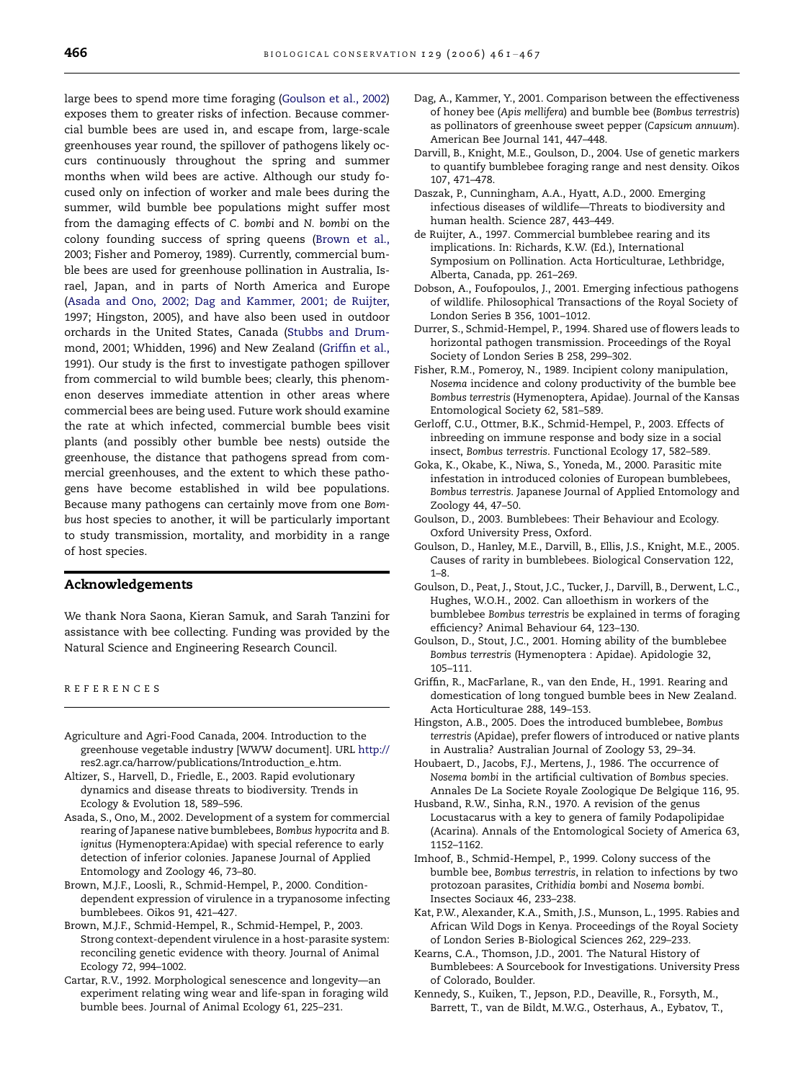<span id="page-5-0"></span>large bees to spend more time foraging (Goulson et al., 2002) exposes them to greater risks of infection. Because commercial bumble bees are used in, and escape from, large-scale greenhouses year round, the spillover of pathogens likely occurs continuously throughout the spring and summer months when wild bees are active. Although our study focused only on infection of worker and male bees during the summer, wild bumble bee populations might suffer most from the damaging effects of C. bombi and N. bombi on the colony founding success of spring queens (Brown et al., 2003; Fisher and Pomeroy, 1989). Currently, commercial bumble bees are used for greenhouse pollination in Australia, Israel, Japan, and in parts of North America and Europe (Asada and Ono, 2002; Dag and Kammer, 2001; de Ruijter, 1997; Hingston, 2005), and have also been used in outdoor orchards in the United States, Canada [\(Stubbs and Drum](#page-6-0)[mond, 2001; Whidden, 1996\)](#page-6-0) and New Zealand (Griffin et al., 1991). Our study is the first to investigate pathogen spillover from commercial to wild bumble bees; clearly, this phenomenon deserves immediate attention in other areas where commercial bees are being used. Future work should examine the rate at which infected, commercial bumble bees visit plants (and possibly other bumble bee nests) outside the greenhouse, the distance that pathogens spread from commercial greenhouses, and the extent to which these pathogens have become established in wild bee populations. Because many pathogens can certainly move from one Bombus host species to another, it will be particularly important to study transmission, mortality, and morbidity in a range of host species.

# Acknowledgements

We thank Nora Saona, Kieran Samuk, and Sarah Tanzini for assistance with bee collecting. Funding was provided by the Natural Science and Engineering Research Council.

REFERENCES

- Agriculture and Agri-Food Canada, 2004. Introduction to the greenhouse vegetable industry [WWW document]. URL [http://](http://res2.agr.ca/harrow/publications/Introduction_e.htm) [res2.agr.ca/harrow/publications/Introduction\\_e.htm.](http://res2.agr.ca/harrow/publications/Introduction_e.htm)
- Altizer, S., Harvell, D., Friedle, E., 2003. Rapid evolutionary dynamics and disease threats to biodiversity. Trends in Ecology & Evolution 18, 589–596.
- Asada, S., Ono, M., 2002. Development of a system for commercial rearing of Japanese native bumblebees, Bombus hypocrita and B. ignitus (Hymenoptera:Apidae) with special reference to early detection of inferior colonies. Japanese Journal of Applied Entomology and Zoology 46, 73–80.
- Brown, M.J.F., Loosli, R., Schmid-Hempel, P., 2000. Conditiondependent expression of virulence in a trypanosome infecting bumblebees. Oikos 91, 421–427.
- Brown, M.J.F., Schmid-Hempel, R., Schmid-Hempel, P., 2003. Strong context-dependent virulence in a host-parasite system: reconciling genetic evidence with theory. Journal of Animal Ecology 72, 994–1002.
- Cartar, R.V., 1992. Morphological senescence and longevity—an experiment relating wing wear and life-span in foraging wild bumble bees. Journal of Animal Ecology 61, 225–231.
- Dag, A., Kammer, Y., 2001. Comparison between the effectiveness of honey bee (Apis mellifera) and bumble bee (Bombus terrestris) as pollinators of greenhouse sweet pepper (Capsicum annuum). American Bee Journal 141, 447–448.
- Darvill, B., Knight, M.E., Goulson, D., 2004. Use of genetic markers to quantify bumblebee foraging range and nest density. Oikos 107, 471–478.
- Daszak, P., Cunningham, A.A., Hyatt, A.D., 2000. Emerging infectious diseases of wildlife—Threats to biodiversity and human health. Science 287, 443–449.
- de Ruijter, A., 1997. Commercial bumblebee rearing and its implications. In: Richards, K.W. (Ed.), International Symposium on Pollination. Acta Horticulturae, Lethbridge, Alberta, Canada, pp. 261–269.
- Dobson, A., Foufopoulos, J., 2001. Emerging infectious pathogens of wildlife. Philosophical Transactions of the Royal Society of London Series B 356, 1001–1012.
- Durrer, S., Schmid-Hempel, P., 1994. Shared use of flowers leads to horizontal pathogen transmission. Proceedings of the Royal Society of London Series B 258, 299–302.
- Fisher, R.M., Pomeroy, N., 1989. Incipient colony manipulation, Nosema incidence and colony productivity of the bumble bee Bombus terrestris (Hymenoptera, Apidae). Journal of the Kansas Entomological Society 62, 581–589.
- Gerloff, C.U., Ottmer, B.K., Schmid-Hempel, P., 2003. Effects of inbreeding on immune response and body size in a social insect, Bombus terrestris. Functional Ecology 17, 582–589.
- Goka, K., Okabe, K., Niwa, S., Yoneda, M., 2000. Parasitic mite infestation in introduced colonies of European bumblebees, Bombus terrestris. Japanese Journal of Applied Entomology and Zoology 44, 47–50.
- Goulson, D., 2003. Bumblebees: Their Behaviour and Ecology. Oxford University Press, Oxford.
- Goulson, D., Hanley, M.E., Darvill, B., Ellis, J.S., Knight, M.E., 2005. Causes of rarity in bumblebees. Biological Conservation 122, 1–8.
- Goulson, D., Peat, J., Stout, J.C., Tucker, J., Darvill, B., Derwent, L.C., Hughes, W.O.H., 2002. Can alloethism in workers of the bumblebee Bombus terrestris be explained in terms of foraging efficiency? Animal Behaviour 64, 123–130.
- Goulson, D., Stout, J.C., 2001. Homing ability of the bumblebee Bombus terrestris (Hymenoptera : Apidae). Apidologie 32, 105–111.
- Griffin, R., MacFarlane, R., van den Ende, H., 1991. Rearing and domestication of long tongued bumble bees in New Zealand. Acta Horticulturae 288, 149–153.
- Hingston, A.B., 2005. Does the introduced bumblebee, Bombus terrestris (Apidae), prefer flowers of introduced or native plants in Australia? Australian Journal of Zoology 53, 29–34.
- Houbaert, D., Jacobs, F.J., Mertens, J., 1986. The occurrence of Nosema bombi in the artificial cultivation of Bombus species. Annales De La Societe Royale Zoologique De Belgique 116, 95.
- Husband, R.W., Sinha, R.N., 1970. A revision of the genus Locustacarus with a key to genera of family Podapolipidae (Acarina). Annals of the Entomological Society of America 63, 1152–1162.
- Imhoof, B., Schmid-Hempel, P., 1999. Colony success of the bumble bee, Bombus terrestris, in relation to infections by two protozoan parasites, Crithidia bombi and Nosema bombi. Insectes Sociaux 46, 233–238.
- Kat, P.W., Alexander, K.A., Smith, J.S., Munson, L., 1995. Rabies and African Wild Dogs in Kenya. Proceedings of the Royal Society of London Series B-Biological Sciences 262, 229–233.
- Kearns, C.A., Thomson, J.D., 2001. The Natural History of Bumblebees: A Sourcebook for Investigations. University Press of Colorado, Boulder.
- Kennedy, S., Kuiken, T., Jepson, P.D., Deaville, R., Forsyth, M., Barrett, T., van de Bildt, M.W.G., Osterhaus, A., Eybatov, T.,